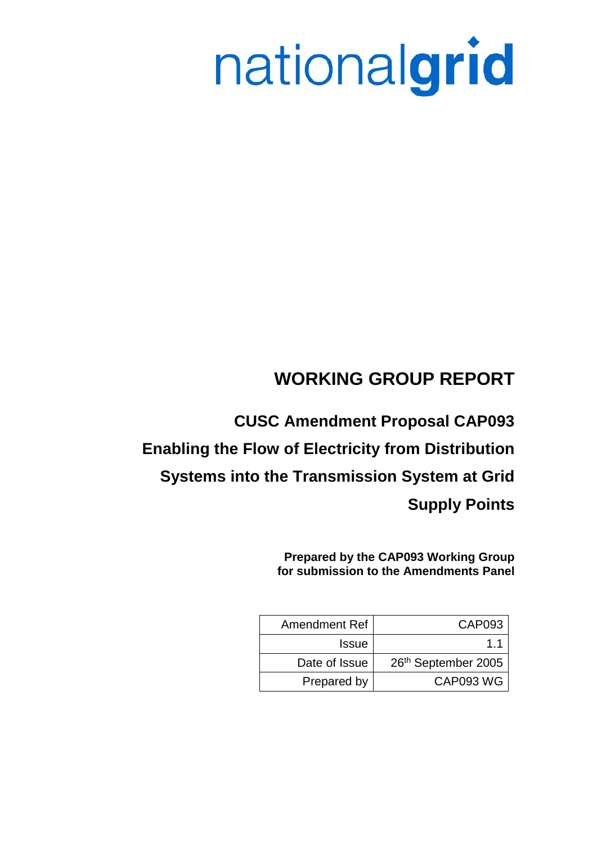# nationalgrid

# **WORKING GROUP REPORT**

**CUSC Amendment Proposal CAP093 Enabling the Flow of Electricity from Distribution Systems into the Transmission System at Grid Supply Points**

> **Prepared by the CAP093 Working Group for submission to the Amendments Panel**

| Amendment Ref | CAP093              |
|---------------|---------------------|
| <b>Issue</b>  | 11                  |
| Date of Issue | 26th September 2005 |
| Prepared by   | CAP093 WG           |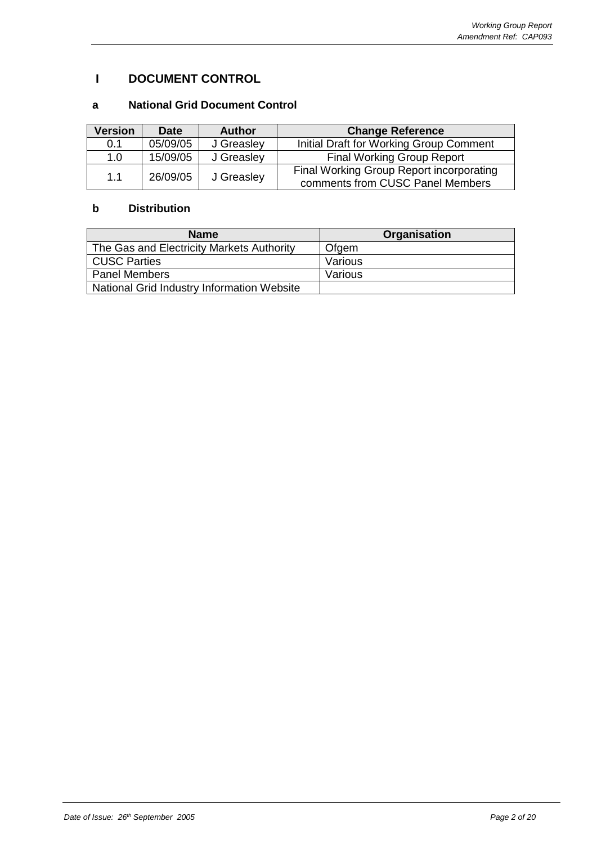# **I DOCUMENT CONTROL**

# **a National Grid Document Control**

| Version | <b>Date</b> | <b>Author</b> | <b>Change Reference</b>                                                      |
|---------|-------------|---------------|------------------------------------------------------------------------------|
| 0.1     | 05/09/05    | J Greasley    | Initial Draft for Working Group Comment                                      |
| 1.0     | 15/09/05    | J Greasley    | <b>Final Working Group Report</b>                                            |
| 1.1     | 26/09/05    | J Greasley    | Final Working Group Report incorporating<br>comments from CUSC Panel Members |

# **b Distribution**

| <b>Name</b>                                | <b>Organisation</b> |
|--------------------------------------------|---------------------|
| The Gas and Electricity Markets Authority  | Ofgem               |
| <b>CUSC Parties</b>                        | Various             |
| <b>Panel Members</b>                       | Various             |
| National Grid Industry Information Website |                     |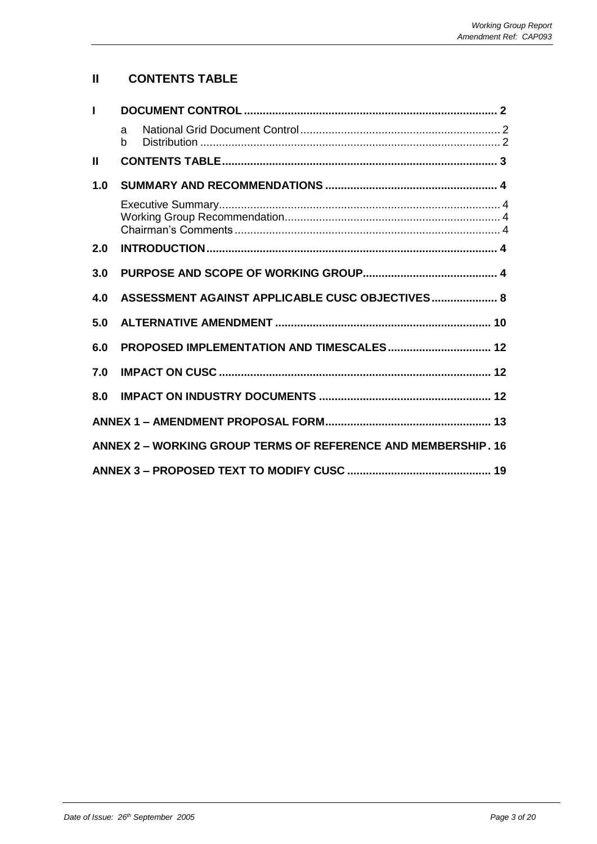# **II CONTENTS TABLE**

| $\mathbf{I}$  |        |                                                               |  |
|---------------|--------|---------------------------------------------------------------|--|
|               | a<br>b |                                                               |  |
| $\mathbf{II}$ |        |                                                               |  |
| 1.0           |        |                                                               |  |
|               |        |                                                               |  |
| 2.0           |        |                                                               |  |
| 3.0           |        |                                                               |  |
| 4.0           |        | ASSESSMENT AGAINST APPLICABLE CUSC OBJECTIVES 8               |  |
| 5.0           |        |                                                               |  |
| 6.0           |        | PROPOSED IMPLEMENTATION AND TIMESCALES 12                     |  |
| 7.0           |        |                                                               |  |
| 8.0           |        |                                                               |  |
|               |        |                                                               |  |
|               |        | ANNEX 2 - WORKING GROUP TERMS OF REFERENCE AND MEMBERSHIP. 16 |  |
|               |        |                                                               |  |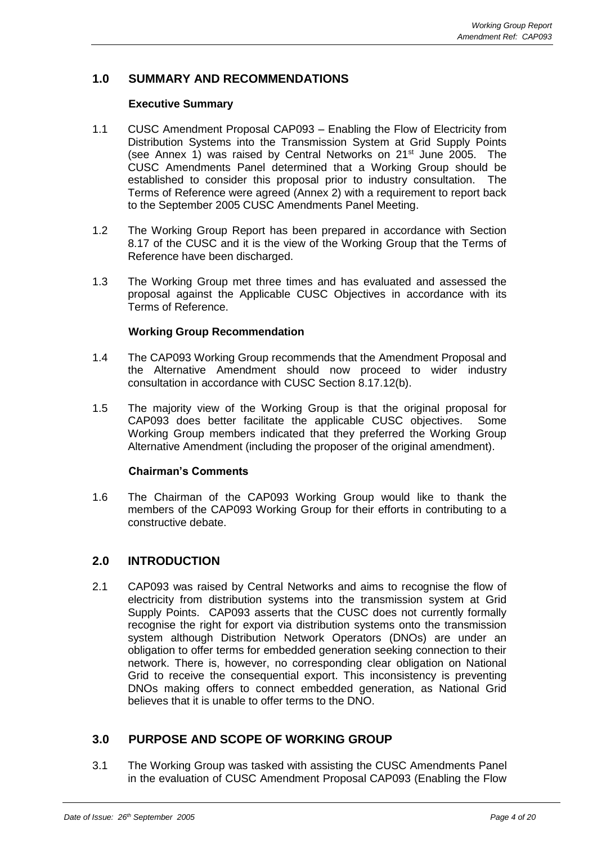# **1.0 SUMMARY AND RECOMMENDATIONS**

## **Executive Summary**

- 1.1 CUSC Amendment Proposal CAP093 Enabling the Flow of Electricity from Distribution Systems into the Transmission System at Grid Supply Points (see Annex 1) was raised by Central Networks on  $21<sup>st</sup>$  June 2005. The CUSC Amendments Panel determined that a Working Group should be established to consider this proposal prior to industry consultation. The Terms of Reference were agreed (Annex 2) with a requirement to report back to the September 2005 CUSC Amendments Panel Meeting.
- 1.2 The Working Group Report has been prepared in accordance with Section 8.17 of the CUSC and it is the view of the Working Group that the Terms of Reference have been discharged.
- 1.3 The Working Group met three times and has evaluated and assessed the proposal against the Applicable CUSC Objectives in accordance with its Terms of Reference.

## **Working Group Recommendation**

- 1.4 The CAP093 Working Group recommends that the Amendment Proposal and the Alternative Amendment should now proceed to wider industry consultation in accordance with CUSC Section 8.17.12(b).
- 1.5 The majority view of the Working Group is that the original proposal for CAP093 does better facilitate the applicable CUSC objectives. Some Working Group members indicated that they preferred the Working Group Alternative Amendment (including the proposer of the original amendment).

## **Chairman's Comments**

1.6 The Chairman of the CAP093 Working Group would like to thank the members of the CAP093 Working Group for their efforts in contributing to a constructive debate.

# **2.0 INTRODUCTION**

2.1 CAP093 was raised by Central Networks and aims to recognise the flow of electricity from distribution systems into the transmission system at Grid Supply Points. CAP093 asserts that the CUSC does not currently formally recognise the right for export via distribution systems onto the transmission system although Distribution Network Operators (DNOs) are under an obligation to offer terms for embedded generation seeking connection to their network. There is, however, no corresponding clear obligation on National Grid to receive the consequential export. This inconsistency is preventing DNOs making offers to connect embedded generation, as National Grid believes that it is unable to offer terms to the DNO.

# **3.0 PURPOSE AND SCOPE OF WORKING GROUP**

3.1 The Working Group was tasked with assisting the CUSC Amendments Panel in the evaluation of CUSC Amendment Proposal CAP093 (Enabling the Flow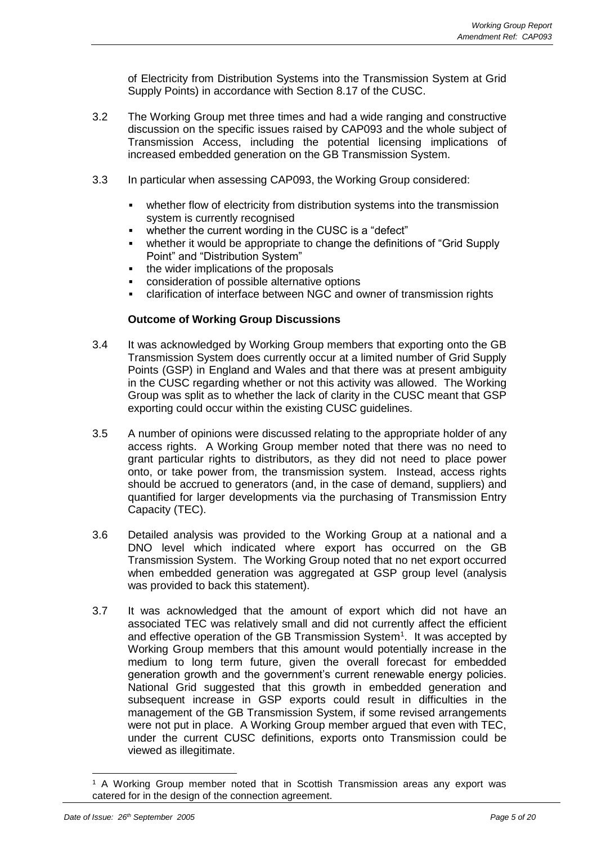of Electricity from Distribution Systems into the Transmission System at Grid Supply Points) in accordance with Section 8.17 of the CUSC.

- 3.2 The Working Group met three times and had a wide ranging and constructive discussion on the specific issues raised by CAP093 and the whole subject of Transmission Access, including the potential licensing implications of increased embedded generation on the GB Transmission System.
- 3.3 In particular when assessing CAP093, the Working Group considered:
	- whether flow of electricity from distribution systems into the transmission system is currently recognised
	- whether the current wording in the CUSC is a "defect"
	- whether it would be appropriate to change the definitions of "Grid Supply" Point" and "Distribution System"
	- the wider implications of the proposals
	- consideration of possible alternative options
	- clarification of interface between NGC and owner of transmission rights

## **Outcome of Working Group Discussions**

- 3.4 It was acknowledged by Working Group members that exporting onto the GB Transmission System does currently occur at a limited number of Grid Supply Points (GSP) in England and Wales and that there was at present ambiguity in the CUSC regarding whether or not this activity was allowed. The Working Group was split as to whether the lack of clarity in the CUSC meant that GSP exporting could occur within the existing CUSC guidelines.
- 3.5 A number of opinions were discussed relating to the appropriate holder of any access rights. A Working Group member noted that there was no need to grant particular rights to distributors, as they did not need to place power onto, or take power from, the transmission system. Instead, access rights should be accrued to generators (and, in the case of demand, suppliers) and quantified for larger developments via the purchasing of Transmission Entry Capacity (TEC).
- 3.6 Detailed analysis was provided to the Working Group at a national and a DNO level which indicated where export has occurred on the GB Transmission System. The Working Group noted that no net export occurred when embedded generation was aggregated at GSP group level (analysis was provided to back this statement).
- 3.7 It was acknowledged that the amount of export which did not have an associated TEC was relatively small and did not currently affect the efficient and effective operation of the GB Transmission System<sup>1</sup>. It was accepted by Working Group members that this amount would potentially increase in the medium to long term future, given the overall forecast for embedded generation growth and the government's current renewable energy policies. National Grid suggested that this growth in embedded generation and subsequent increase in GSP exports could result in difficulties in the management of the GB Transmission System, if some revised arrangements were not put in place. A Working Group member argued that even with TEC, under the current CUSC definitions, exports onto Transmission could be viewed as illegitimate.

<sup>1</sup> A Working Group member noted that in Scottish Transmission areas any export was catered for in the design of the connection agreement.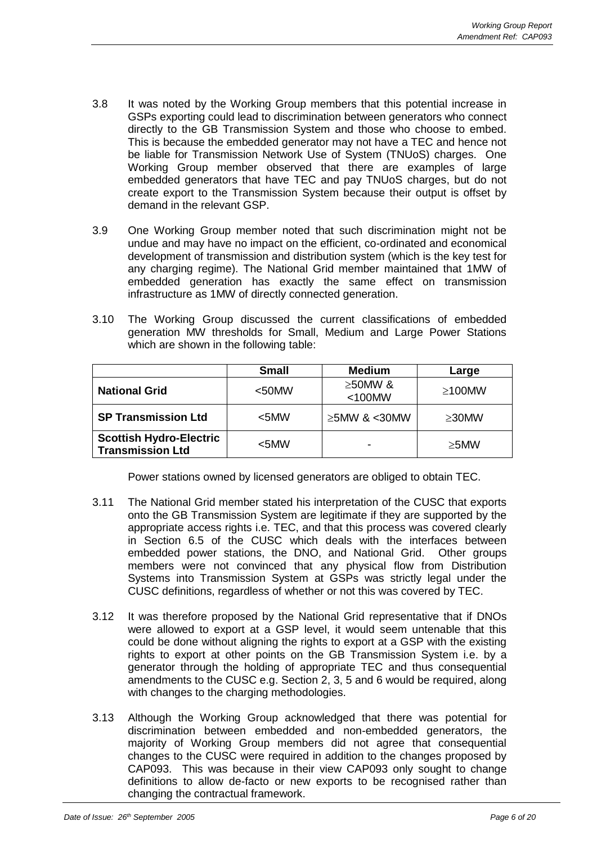- 3.8 It was noted by the Working Group members that this potential increase in GSPs exporting could lead to discrimination between generators who connect directly to the GB Transmission System and those who choose to embed. This is because the embedded generator may not have a TEC and hence not be liable for Transmission Network Use of System (TNUoS) charges. One Working Group member observed that there are examples of large embedded generators that have TEC and pay TNUoS charges, but do not create export to the Transmission System because their output is offset by demand in the relevant GSP.
- 3.9 One Working Group member noted that such discrimination might not be undue and may have no impact on the efficient, co-ordinated and economical development of transmission and distribution system (which is the key test for any charging regime). The National Grid member maintained that 1MW of embedded generation has exactly the same effect on transmission infrastructure as 1MW of directly connected generation.
- 3.10 The Working Group discussed the current classifications of embedded generation MW thresholds for Small, Medium and Large Power Stations which are shown in the following table:

|                                                           | <b>Small</b> | <b>Medium</b>              | Large        |
|-----------------------------------------------------------|--------------|----------------------------|--------------|
| <b>National Grid</b>                                      | $50$ MW      | $\geq$ 50MW &<br>$<$ 100MW | $\geq$ 100MW |
| <b>SP Transmission Ltd</b>                                | $<$ 5MW      | $\geq$ 5MW & <30MW         | $\geq$ 30MW  |
| <b>Scottish Hydro-Electric</b><br><b>Transmission Ltd</b> | $<$ 5MW      |                            | $\geq$ 5MW   |

Power stations owned by licensed generators are obliged to obtain TEC.

- 3.11 The National Grid member stated his interpretation of the CUSC that exports onto the GB Transmission System are legitimate if they are supported by the appropriate access rights i.e. TEC, and that this process was covered clearly in Section 6.5 of the CUSC which deals with the interfaces between embedded power stations, the DNO, and National Grid. Other groups members were not convinced that any physical flow from Distribution Systems into Transmission System at GSPs was strictly legal under the CUSC definitions, regardless of whether or not this was covered by TEC.
- 3.12 It was therefore proposed by the National Grid representative that if DNOs were allowed to export at a GSP level, it would seem untenable that this could be done without aligning the rights to export at a GSP with the existing rights to export at other points on the GB Transmission System i.e. by a generator through the holding of appropriate TEC and thus consequential amendments to the CUSC e.g. Section 2, 3, 5 and 6 would be required, along with changes to the charging methodologies.
- 3.13 Although the Working Group acknowledged that there was potential for discrimination between embedded and non-embedded generators, the majority of Working Group members did not agree that consequential changes to the CUSC were required in addition to the changes proposed by CAP093. This was because in their view CAP093 only sought to change definitions to allow de-facto or new exports to be recognised rather than changing the contractual framework.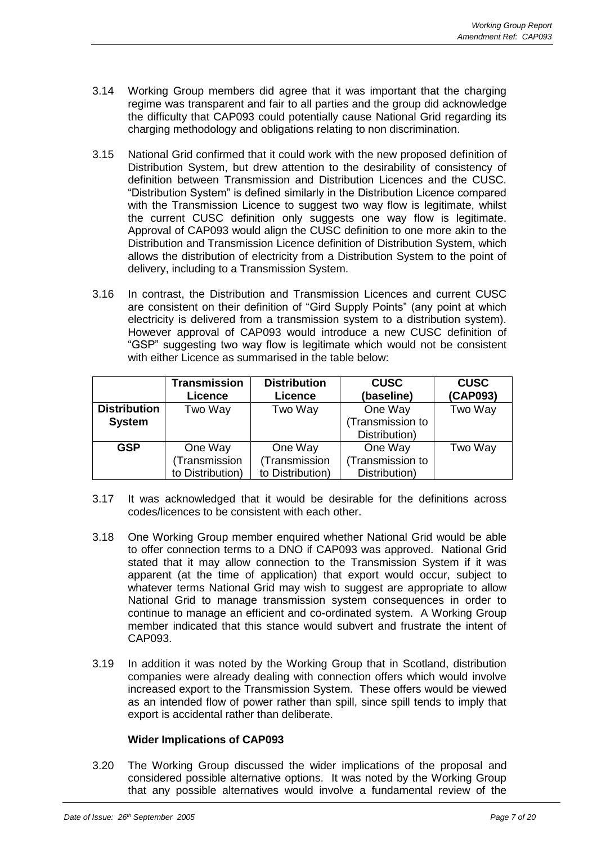- 3.14 Working Group members did agree that it was important that the charging regime was transparent and fair to all parties and the group did acknowledge the difficulty that CAP093 could potentially cause National Grid regarding its charging methodology and obligations relating to non discrimination.
- 3.15 National Grid confirmed that it could work with the new proposed definition of Distribution System, but drew attention to the desirability of consistency of definition between Transmission and Distribution Licences and the CUSC. "Distribution System" is defined similarly in the Distribution Licence compared with the Transmission Licence to suggest two way flow is legitimate, whilst the current CUSC definition only suggests one way flow is legitimate. Approval of CAP093 would align the CUSC definition to one more akin to the Distribution and Transmission Licence definition of Distribution System, which allows the distribution of electricity from a Distribution System to the point of delivery, including to a Transmission System.
- 3.16 In contrast, the Distribution and Transmission Licences and current CUSC are consistent on their definition of "Gird Supply Points" (any point at which electricity is delivered from a transmission system to a distribution system). However approval of CAP093 would introduce a new CUSC definition of "GSP" suggesting two way flow is legitimate which would not be consistent with either Licence as summarised in the table below:

|                     | <b>Transmission</b><br><b>Licence</b> | <b>Distribution</b><br><b>Licence</b> | <b>CUSC</b><br>(baseline) | <b>CUSC</b><br>(CAP093) |
|---------------------|---------------------------------------|---------------------------------------|---------------------------|-------------------------|
| <b>Distribution</b> | Two Way                               | Two Way                               | One Way                   | Two Way                 |
| <b>System</b>       |                                       |                                       | (Transmission to          |                         |
|                     |                                       |                                       | Distribution)             |                         |
| <b>GSP</b>          | One Way                               | One Way                               | One Way                   | Two Way                 |
|                     | (Transmission                         | (Transmission                         | (Transmission to          |                         |
|                     | to Distribution)                      | to Distribution)                      | Distribution)             |                         |

- 3.17 It was acknowledged that it would be desirable for the definitions across codes/licences to be consistent with each other.
- 3.18 One Working Group member enquired whether National Grid would be able to offer connection terms to a DNO if CAP093 was approved. National Grid stated that it may allow connection to the Transmission System if it was apparent (at the time of application) that export would occur, subject to whatever terms National Grid may wish to suggest are appropriate to allow National Grid to manage transmission system consequences in order to continue to manage an efficient and co-ordinated system. A Working Group member indicated that this stance would subvert and frustrate the intent of CAP093.
- 3.19 In addition it was noted by the Working Group that in Scotland, distribution companies were already dealing with connection offers which would involve increased export to the Transmission System. These offers would be viewed as an intended flow of power rather than spill, since spill tends to imply that export is accidental rather than deliberate.

### **Wider Implications of CAP093**

3.20 The Working Group discussed the wider implications of the proposal and considered possible alternative options. It was noted by the Working Group that any possible alternatives would involve a fundamental review of the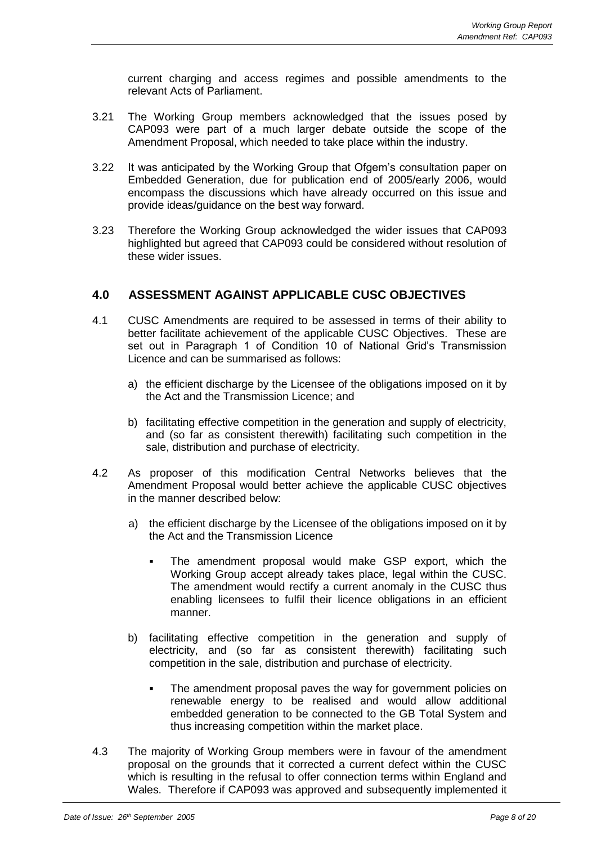current charging and access regimes and possible amendments to the relevant Acts of Parliament.

- 3.21 The Working Group members acknowledged that the issues posed by CAP093 were part of a much larger debate outside the scope of the Amendment Proposal, which needed to take place within the industry.
- 3.22 It was anticipated by the Working Group that Ofgem's consultation paper on Embedded Generation, due for publication end of 2005/early 2006, would encompass the discussions which have already occurred on this issue and provide ideas/guidance on the best way forward.
- 3.23 Therefore the Working Group acknowledged the wider issues that CAP093 highlighted but agreed that CAP093 could be considered without resolution of these wider issues.

# **4.0 ASSESSMENT AGAINST APPLICABLE CUSC OBJECTIVES**

- 4.1 CUSC Amendments are required to be assessed in terms of their ability to better facilitate achievement of the applicable CUSC Objectives. These are set out in Paragraph 1 of Condition 10 of National Grid's Transmission Licence and can be summarised as follows:
	- a) the efficient discharge by the Licensee of the obligations imposed on it by the Act and the Transmission Licence; and
	- b) facilitating effective competition in the generation and supply of electricity, and (so far as consistent therewith) facilitating such competition in the sale, distribution and purchase of electricity.
- 4.2 As proposer of this modification Central Networks believes that the Amendment Proposal would better achieve the applicable CUSC objectives in the manner described below:
	- a) the efficient discharge by the Licensee of the obligations imposed on it by the Act and the Transmission Licence
		- The amendment proposal would make GSP export, which the Working Group accept already takes place, legal within the CUSC. The amendment would rectify a current anomaly in the CUSC thus enabling licensees to fulfil their licence obligations in an efficient manner.
	- b) facilitating effective competition in the generation and supply of electricity, and (so far as consistent therewith) facilitating such competition in the sale, distribution and purchase of electricity.
		- The amendment proposal paves the way for government policies on renewable energy to be realised and would allow additional embedded generation to be connected to the GB Total System and thus increasing competition within the market place.
- 4.3 The majority of Working Group members were in favour of the amendment proposal on the grounds that it corrected a current defect within the CUSC which is resulting in the refusal to offer connection terms within England and Wales. Therefore if CAP093 was approved and subsequently implemented it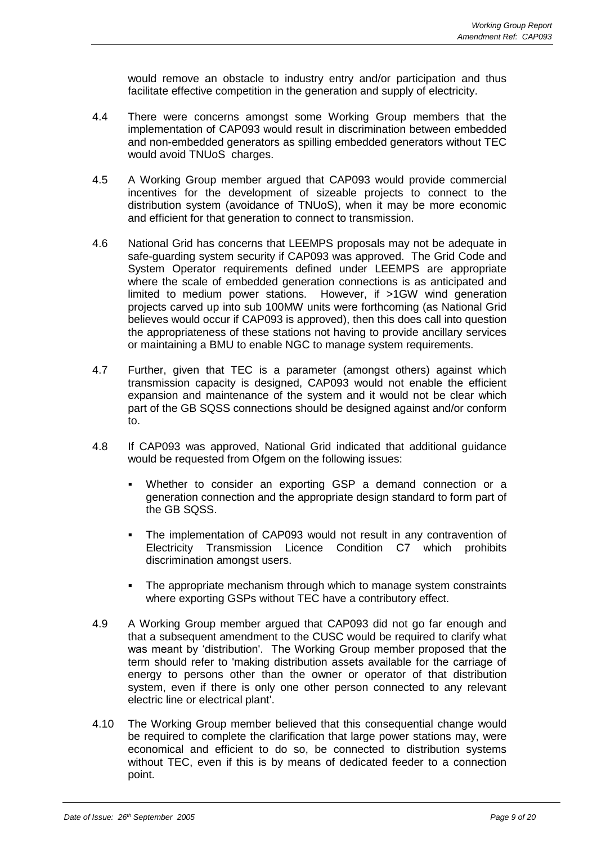would remove an obstacle to industry entry and/or participation and thus facilitate effective competition in the generation and supply of electricity.

- 4.4 There were concerns amongst some Working Group members that the implementation of CAP093 would result in discrimination between embedded and non-embedded generators as spilling embedded generators without TEC would avoid TNUoS charges.
- 4.5 A Working Group member argued that CAP093 would provide commercial incentives for the development of sizeable projects to connect to the distribution system (avoidance of TNUoS), when it may be more economic and efficient for that generation to connect to transmission.
- 4.6 National Grid has concerns that LEEMPS proposals may not be adequate in safe-guarding system security if CAP093 was approved. The Grid Code and System Operator requirements defined under LEEMPS are appropriate where the scale of embedded generation connections is as anticipated and limited to medium power stations. However, if >1GW wind generation projects carved up into sub 100MW units were forthcoming (as National Grid believes would occur if CAP093 is approved), then this does call into question the appropriateness of these stations not having to provide ancillary services or maintaining a BMU to enable NGC to manage system requirements.
- 4.7 Further, given that TEC is a parameter (amongst others) against which transmission capacity is designed, CAP093 would not enable the efficient expansion and maintenance of the system and it would not be clear which part of the GB SQSS connections should be designed against and/or conform to.
- 4.8 If CAP093 was approved, National Grid indicated that additional guidance would be requested from Ofgem on the following issues:
	- Whether to consider an exporting GSP a demand connection or a generation connection and the appropriate design standard to form part of the GB SQSS.
	- The implementation of CAP093 would not result in any contravention of Electricity Transmission Licence Condition C7 which prohibits discrimination amongst users.
	- The appropriate mechanism through which to manage system constraints where exporting GSPs without TEC have a contributory effect.
- 4.9 A Working Group member argued that CAP093 did not go far enough and that a subsequent amendment to the CUSC would be required to clarify what was meant by 'distribution'. The Working Group member proposed that the term should refer to 'making distribution assets available for the carriage of energy to persons other than the owner or operator of that distribution system, even if there is only one other person connected to any relevant electric line or electrical plant'.
- 4.10 The Working Group member believed that this consequential change would be required to complete the clarification that large power stations may, were economical and efficient to do so, be connected to distribution systems without TEC, even if this is by means of dedicated feeder to a connection point.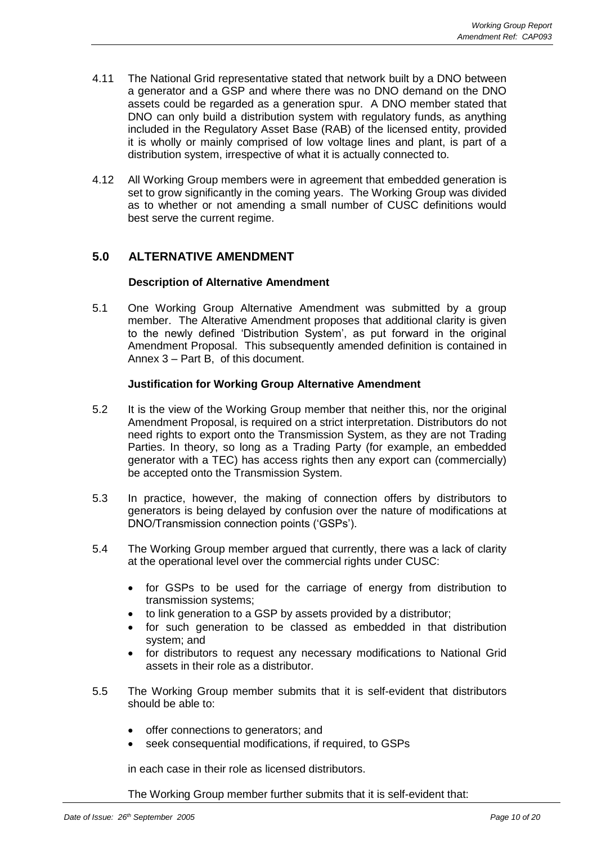- 4.11 The National Grid representative stated that network built by a DNO between a generator and a GSP and where there was no DNO demand on the DNO assets could be regarded as a generation spur. A DNO member stated that DNO can only build a distribution system with regulatory funds, as anything included in the Regulatory Asset Base (RAB) of the licensed entity, provided it is wholly or mainly comprised of low voltage lines and plant, is part of a distribution system, irrespective of what it is actually connected to.
- 4.12 All Working Group members were in agreement that embedded generation is set to grow significantly in the coming years. The Working Group was divided as to whether or not amending a small number of CUSC definitions would best serve the current regime.

# **5.0 ALTERNATIVE AMENDMENT**

## **Description of Alternative Amendment**

5.1 One Working Group Alternative Amendment was submitted by a group member. The Alterative Amendment proposes that additional clarity is given to the newly defined 'Distribution System', as put forward in the original Amendment Proposal. This subsequently amended definition is contained in Annex 3 – Part B, of this document.

## **Justification for Working Group Alternative Amendment**

- 5.2 It is the view of the Working Group member that neither this, nor the original Amendment Proposal, is required on a strict interpretation. Distributors do not need rights to export onto the Transmission System, as they are not Trading Parties. In theory, so long as a Trading Party (for example, an embedded generator with a TEC) has access rights then any export can (commercially) be accepted onto the Transmission System.
- 5.3 In practice, however, the making of connection offers by distributors to generators is being delayed by confusion over the nature of modifications at DNO/Transmission connection points ('GSPs').
- 5.4 The Working Group member argued that currently, there was a lack of clarity at the operational level over the commercial rights under CUSC:
	- for GSPs to be used for the carriage of energy from distribution to transmission systems;
	- to link generation to a GSP by assets provided by a distributor;
	- for such generation to be classed as embedded in that distribution system; and
	- for distributors to request any necessary modifications to National Grid assets in their role as a distributor.
- 5.5 The Working Group member submits that it is self-evident that distributors should be able to:
	- offer connections to generators; and
	- seek consequential modifications, if required, to GSPs

in each case in their role as licensed distributors.

The Working Group member further submits that it is self-evident that: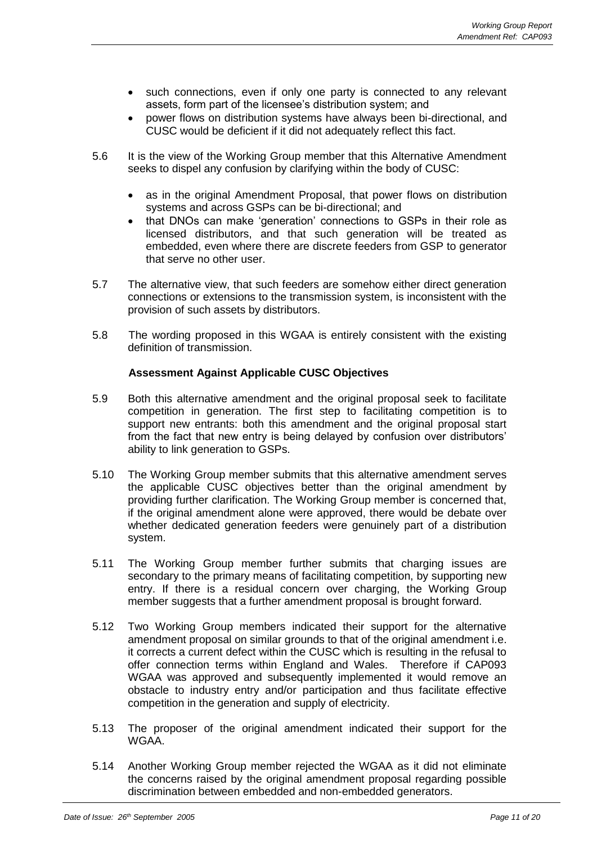- such connections, even if only one party is connected to any relevant assets, form part of the licensee's distribution system; and
- power flows on distribution systems have always been bi-directional, and CUSC would be deficient if it did not adequately reflect this fact.
- 5.6 It is the view of the Working Group member that this Alternative Amendment seeks to dispel any confusion by clarifying within the body of CUSC:
	- as in the original Amendment Proposal, that power flows on distribution systems and across GSPs can be bi-directional; and
	- that DNOs can make 'generation' connections to GSPs in their role as licensed distributors, and that such generation will be treated as embedded, even where there are discrete feeders from GSP to generator that serve no other user.
- 5.7 The alternative view, that such feeders are somehow either direct generation connections or extensions to the transmission system, is inconsistent with the provision of such assets by distributors.
- 5.8 The wording proposed in this WGAA is entirely consistent with the existing definition of transmission.

## **Assessment Against Applicable CUSC Objectives**

- 5.9 Both this alternative amendment and the original proposal seek to facilitate competition in generation. The first step to facilitating competition is to support new entrants: both this amendment and the original proposal start from the fact that new entry is being delayed by confusion over distributors' ability to link generation to GSPs.
- 5.10 The Working Group member submits that this alternative amendment serves the applicable CUSC objectives better than the original amendment by providing further clarification. The Working Group member is concerned that, if the original amendment alone were approved, there would be debate over whether dedicated generation feeders were genuinely part of a distribution system.
- 5.11 The Working Group member further submits that charging issues are secondary to the primary means of facilitating competition, by supporting new entry. If there is a residual concern over charging, the Working Group member suggests that a further amendment proposal is brought forward.
- 5.12 Two Working Group members indicated their support for the alternative amendment proposal on similar grounds to that of the original amendment i.e. it corrects a current defect within the CUSC which is resulting in the refusal to offer connection terms within England and Wales. Therefore if CAP093 WGAA was approved and subsequently implemented it would remove an obstacle to industry entry and/or participation and thus facilitate effective competition in the generation and supply of electricity.
- 5.13 The proposer of the original amendment indicated their support for the WGAA.
- 5.14 Another Working Group member rejected the WGAA as it did not eliminate the concerns raised by the original amendment proposal regarding possible discrimination between embedded and non-embedded generators.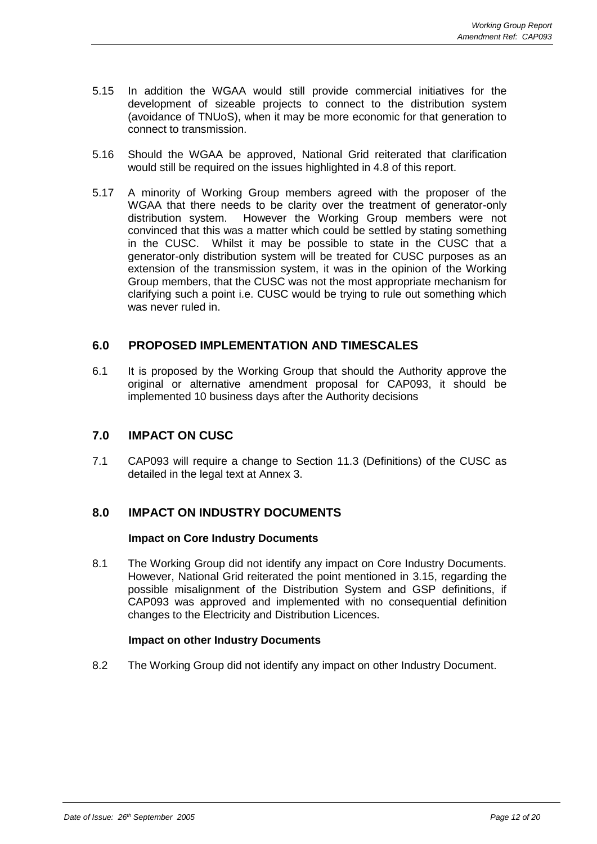- 5.15 In addition the WGAA would still provide commercial initiatives for the development of sizeable projects to connect to the distribution system (avoidance of TNUoS), when it may be more economic for that generation to connect to transmission.
- 5.16 Should the WGAA be approved, National Grid reiterated that clarification would still be required on the issues highlighted in 4.8 of this report.
- 5.17 A minority of Working Group members agreed with the proposer of the WGAA that there needs to be clarity over the treatment of generator-only distribution system. However the Working Group members were not However the Working Group members were not convinced that this was a matter which could be settled by stating something in the CUSC. Whilst it may be possible to state in the CUSC that a generator-only distribution system will be treated for CUSC purposes as an extension of the transmission system, it was in the opinion of the Working Group members, that the CUSC was not the most appropriate mechanism for clarifying such a point i.e. CUSC would be trying to rule out something which was never ruled in.

# **6.0 PROPOSED IMPLEMENTATION AND TIMESCALES**

6.1 It is proposed by the Working Group that should the Authority approve the original or alternative amendment proposal for CAP093, it should be implemented 10 business days after the Authority decisions

# **7.0 IMPACT ON CUSC**

7.1 CAP093 will require a change to Section 11.3 (Definitions) of the CUSC as detailed in the legal text at Annex 3.

# **8.0 IMPACT ON INDUSTRY DOCUMENTS**

### **Impact on Core Industry Documents**

8.1 The Working Group did not identify any impact on Core Industry Documents. However, National Grid reiterated the point mentioned in 3.15, regarding the possible misalignment of the Distribution System and GSP definitions, if CAP093 was approved and implemented with no consequential definition changes to the Electricity and Distribution Licences.

### **Impact on other Industry Documents**

8.2 The Working Group did not identify any impact on other Industry Document.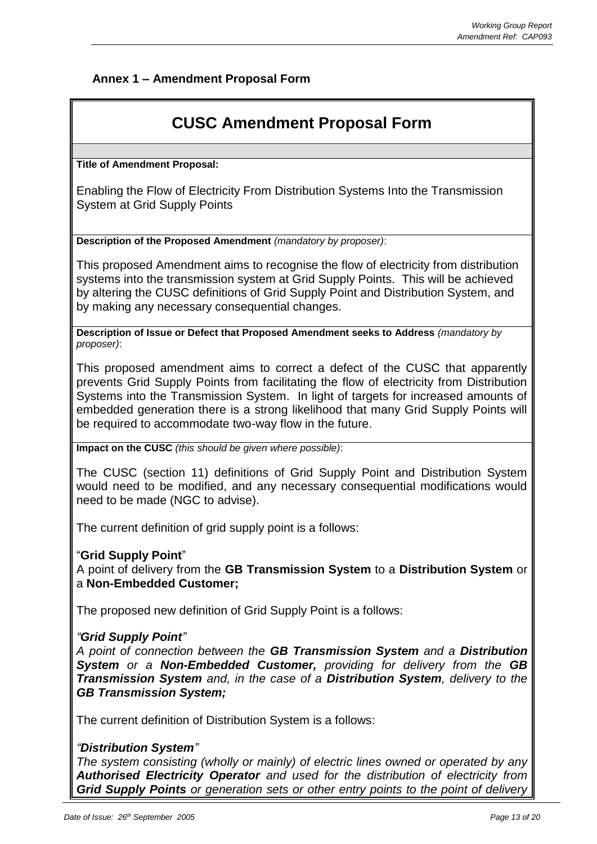# **Annex 1 – Amendment Proposal Form**

# **CUSC Amendment Proposal Form**

**Title of Amendment Proposal:**

Enabling the Flow of Electricity From Distribution Systems Into the Transmission System at Grid Supply Points

**Description of the Proposed Amendment** *(mandatory by proposer)*:

This proposed Amendment aims to recognise the flow of electricity from distribution systems into the transmission system at Grid Supply Points. This will be achieved by altering the CUSC definitions of Grid Supply Point and Distribution System, and by making any necessary consequential changes.

**Description of Issue or Defect that Proposed Amendment seeks to Address** *(mandatory by proposer)*:

This proposed amendment aims to correct a defect of the CUSC that apparently prevents Grid Supply Points from facilitating the flow of electricity from Distribution Systems into the Transmission System. In light of targets for increased amounts of embedded generation there is a strong likelihood that many Grid Supply Points will be required to accommodate two-way flow in the future.

**Impact on the CUSC** *(this should be given where possible)*:

The CUSC (section 11) definitions of Grid Supply Point and Distribution System would need to be modified, and any necessary consequential modifications would need to be made (NGC to advise).

The current definition of grid supply point is a follows:

## "**Grid Supply Point**"

A point of delivery from the **GB Transmission System** to a **Distribution System** or a **Non-Embedded Customer;**

The proposed new definition of Grid Supply Point is a follows:

## *"Grid Supply Point"*

*A point of connection between the GB Transmission System and a Distribution System or a Non-Embedded Customer, providing for delivery from the GB Transmission System and, in the case of a Distribution System, delivery to the GB Transmission System;*

The current definition of Distribution System is a follows:

## *"Distribution System"*

*The system consisting (wholly or mainly) of electric lines owned or operated by any Authorised Electricity Operator and used for the distribution of electricity from Grid Supply Points or generation sets or other entry points to the point of delivery*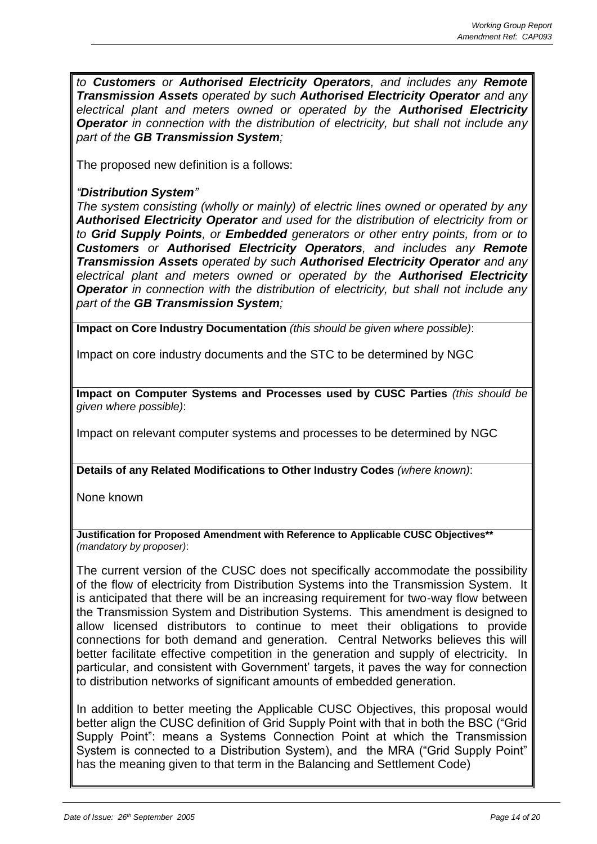*to Customers or Authorised Electricity Operators, and includes any Remote Transmission Assets operated by such Authorised Electricity Operator and any electrical plant and meters owned or operated by the Authorised Electricity Operator in connection with the distribution of electricity, but shall not include any part of the GB Transmission System;*

The proposed new definition is a follows:

# *"Distribution System"*

*The system consisting (wholly or mainly) of electric lines owned or operated by any Authorised Electricity Operator and used for the distribution of electricity from or to Grid Supply Points, or Embedded generators or other entry points, from or to Customers or Authorised Electricity Operators, and includes any Remote Transmission Assets operated by such Authorised Electricity Operator and any electrical plant and meters owned or operated by the Authorised Electricity Operator in connection with the distribution of electricity, but shall not include any part of the GB Transmission System;*

**Impact on Core Industry Documentation** *(this should be given where possible)*:

Impact on core industry documents and the STC to be determined by NGC

**Impact on Computer Systems and Processes used by CUSC Parties** *(this should be given where possible)*:

Impact on relevant computer systems and processes to be determined by NGC

**Details of any Related Modifications to Other Industry Codes** *(where known)*:

None known

**Justification for Proposed Amendment with Reference to Applicable CUSC Objectives\*\***  *(mandatory by proposer)*:

The current version of the CUSC does not specifically accommodate the possibility of the flow of electricity from Distribution Systems into the Transmission System. It is anticipated that there will be an increasing requirement for two-way flow between the Transmission System and Distribution Systems. This amendment is designed to allow licensed distributors to continue to meet their obligations to provide connections for both demand and generation. Central Networks believes this will better facilitate effective competition in the generation and supply of electricity. In particular, and consistent with Government' targets, it paves the way for connection to distribution networks of significant amounts of embedded generation.

In addition to better meeting the Applicable CUSC Objectives, this proposal would better align the CUSC definition of Grid Supply Point with that in both the BSC ("Grid Supply Point": means a Systems Connection Point at which the Transmission System is connected to a Distribution System), and the MRA ("Grid Supply Point" has the meaning given to that term in the Balancing and Settlement Code)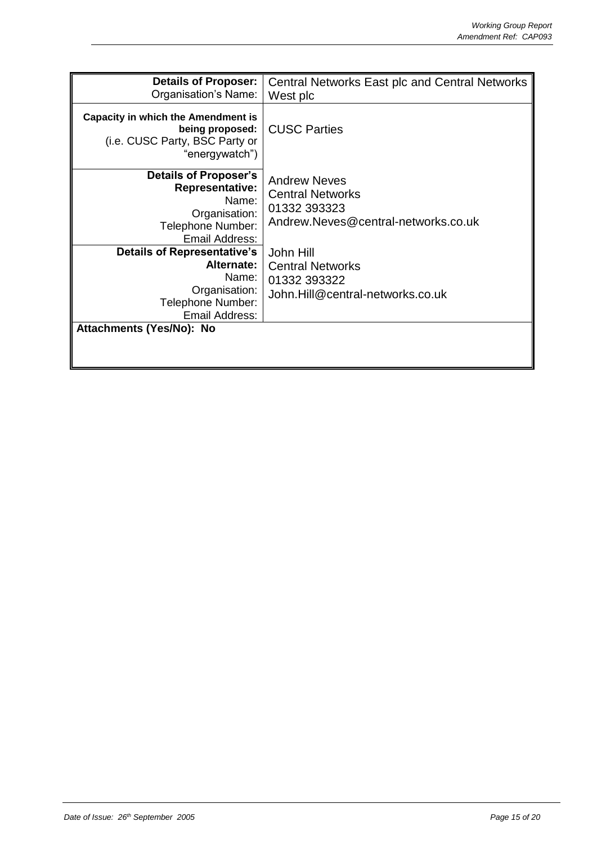| <b>Details of Proposer:</b><br>Organisation's Name:                                                                     | <b>Central Networks East plc and Central Networks</b><br>West plc                                     |
|-------------------------------------------------------------------------------------------------------------------------|-------------------------------------------------------------------------------------------------------|
| <b>Capacity in which the Amendment is</b><br>being proposed:<br>(i.e. CUSC Party, BSC Party or<br>"energywatch")        | <b>CUSC Parties</b>                                                                                   |
| <b>Details of Proposer's</b><br><b>Representative:</b><br>Name:<br>Organisation:<br>Telephone Number:<br>Email Address: | <b>Andrew Neves</b><br><b>Central Networks</b><br>01332 393323<br>Andrew.Neves@central-networks.co.uk |
| <b>Details of Representative's</b>                                                                                      | John Hill                                                                                             |
| Alternate:                                                                                                              | <b>Central Networks</b>                                                                               |
| Name:                                                                                                                   | 01332 393322                                                                                          |
| Organisation:                                                                                                           | John.Hill@central-networks.co.uk                                                                      |
| Telephone Number:<br>Email Address:                                                                                     |                                                                                                       |
| Attachments (Yes/No): No                                                                                                |                                                                                                       |
|                                                                                                                         |                                                                                                       |
|                                                                                                                         |                                                                                                       |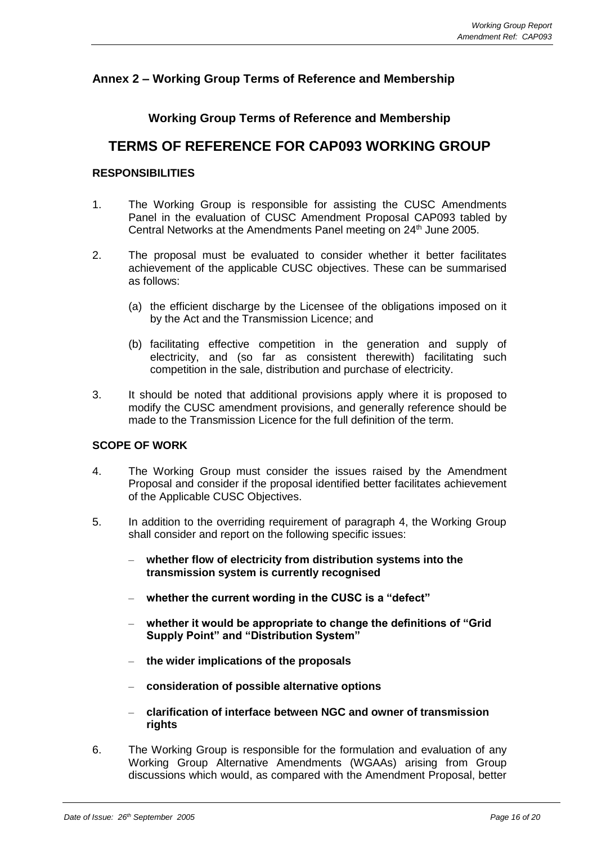# **Annex 2 – Working Group Terms of Reference and Membership**

# **Working Group Terms of Reference and Membership**

# **TERMS OF REFERENCE FOR CAP093 WORKING GROUP**

# **RESPONSIBILITIES**

- 1. The Working Group is responsible for assisting the CUSC Amendments Panel in the evaluation of CUSC Amendment Proposal CAP093 tabled by Central Networks at the Amendments Panel meeting on 24<sup>th</sup> June 2005.
- 2. The proposal must be evaluated to consider whether it better facilitates achievement of the applicable CUSC objectives. These can be summarised as follows:
	- (a) the efficient discharge by the Licensee of the obligations imposed on it by the Act and the Transmission Licence; and
	- (b) facilitating effective competition in the generation and supply of electricity, and (so far as consistent therewith) facilitating such competition in the sale, distribution and purchase of electricity.
- 3. It should be noted that additional provisions apply where it is proposed to modify the CUSC amendment provisions, and generally reference should be made to the Transmission Licence for the full definition of the term.

## **SCOPE OF WORK**

- 4. The Working Group must consider the issues raised by the Amendment Proposal and consider if the proposal identified better facilitates achievement of the Applicable CUSC Objectives.
- 5. In addition to the overriding requirement of paragraph 4, the Working Group shall consider and report on the following specific issues:
	- **whether flow of electricity from distribution systems into the transmission system is currently recognised**
	- **whether the current wording in the CUSC is a "defect"**
	- **whether it would be appropriate to change the definitions of "Grid Supply Point" and "Distribution System"**
	- **the wider implications of the proposals**
	- **consideration of possible alternative options**
	- **clarification of interface between NGC and owner of transmission rights**
- 6. The Working Group is responsible for the formulation and evaluation of any Working Group Alternative Amendments (WGAAs) arising from Group discussions which would, as compared with the Amendment Proposal, better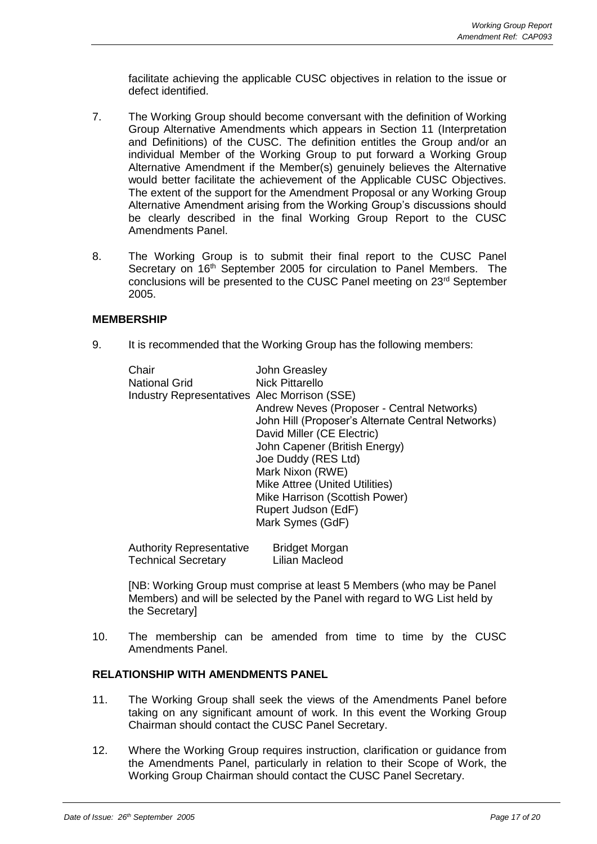facilitate achieving the applicable CUSC objectives in relation to the issue or defect identified.

- 7. The Working Group should become conversant with the definition of Working Group Alternative Amendments which appears in Section 11 (Interpretation and Definitions) of the CUSC. The definition entitles the Group and/or an individual Member of the Working Group to put forward a Working Group Alternative Amendment if the Member(s) genuinely believes the Alternative would better facilitate the achievement of the Applicable CUSC Objectives. The extent of the support for the Amendment Proposal or any Working Group Alternative Amendment arising from the Working Group's discussions should be clearly described in the final Working Group Report to the CUSC Amendments Panel.
- 8. The Working Group is to submit their final report to the CUSC Panel Secretary on 16<sup>th</sup> September 2005 for circulation to Panel Members. The conclusions will be presented to the CUSC Panel meeting on 23rd September 2005.

## **MEMBERSHIP**

9. It is recommended that the Working Group has the following members:

| Chair                                               | John Greasley                                     |
|-----------------------------------------------------|---------------------------------------------------|
| <b>National Grid</b>                                | <b>Nick Pittarello</b>                            |
| <b>Industry Representatives Alec Morrison (SSE)</b> |                                                   |
|                                                     | Andrew Neves (Proposer - Central Networks)        |
|                                                     | John Hill (Proposer's Alternate Central Networks) |
|                                                     | David Miller (CE Electric)                        |
|                                                     | John Capener (British Energy)                     |
|                                                     | Joe Duddy (RES Ltd)                               |
|                                                     | Mark Nixon (RWE)                                  |
|                                                     | Mike Attree (United Utilities)                    |
|                                                     | Mike Harrison (Scottish Power)                    |
|                                                     | Rupert Judson (EdF)                               |
|                                                     | Mark Symes (GdF)                                  |
|                                                     |                                                   |

| <b>Authority Representative</b> | <b>Bridget Morgan</b> |
|---------------------------------|-----------------------|
| Technical Secretary             | Lilian Macleod        |

[NB: Working Group must comprise at least 5 Members (who may be Panel Members) and will be selected by the Panel with regard to WG List held by the Secretary]

10. The membership can be amended from time to time by the CUSC Amendments Panel.

## **RELATIONSHIP WITH AMENDMENTS PANEL**

- 11. The Working Group shall seek the views of the Amendments Panel before taking on any significant amount of work. In this event the Working Group Chairman should contact the CUSC Panel Secretary.
- 12. Where the Working Group requires instruction, clarification or guidance from the Amendments Panel, particularly in relation to their Scope of Work, the Working Group Chairman should contact the CUSC Panel Secretary.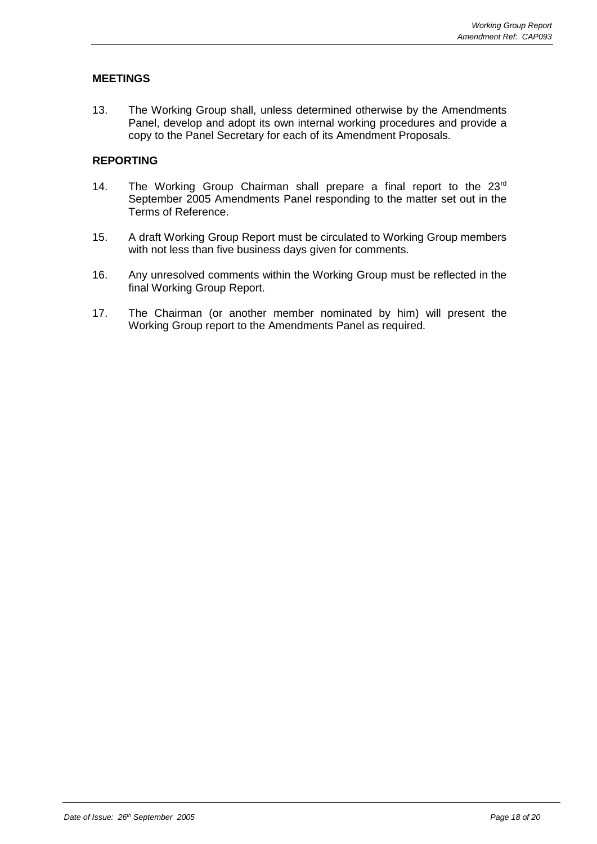# **MEETINGS**

13. The Working Group shall, unless determined otherwise by the Amendments Panel, develop and adopt its own internal working procedures and provide a copy to the Panel Secretary for each of its Amendment Proposals.

# **REPORTING**

- 14. The Working Group Chairman shall prepare a final report to the 23rd September 2005 Amendments Panel responding to the matter set out in the Terms of Reference.
- 15. A draft Working Group Report must be circulated to Working Group members with not less than five business days given for comments.
- 16. Any unresolved comments within the Working Group must be reflected in the final Working Group Report.
- 17. The Chairman (or another member nominated by him) will present the Working Group report to the Amendments Panel as required.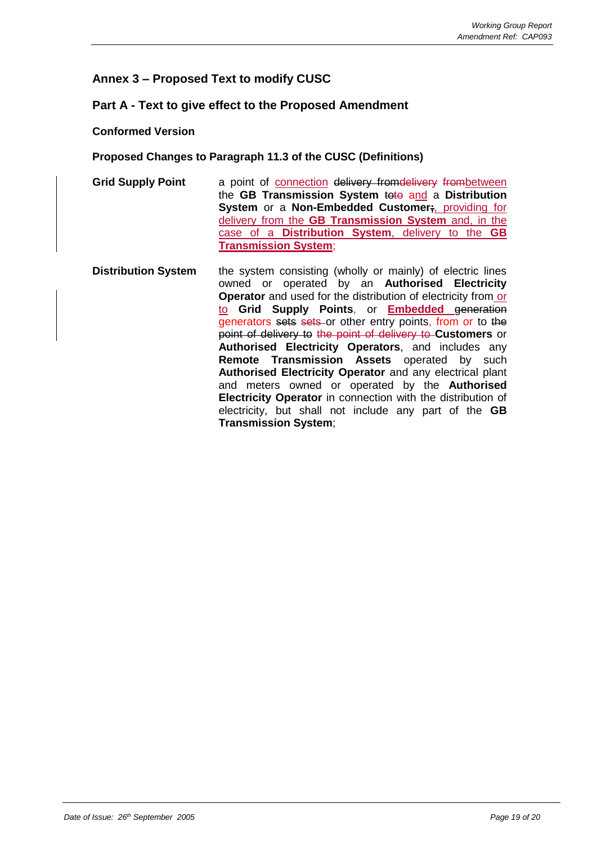# **Annex 3 – Proposed Text to modify CUSC**

# **Part A - Text to give effect to the Proposed Amendment**

## **Conformed Version**

## **Proposed Changes to Paragraph 11.3 of the CUSC (Definitions)**

- **Grid Supply Point** a point of connection delivery from delivery from between the **GB Transmission System** toto and a **Distribution System** or a **Non-Embedded Customer;**, providing for delivery from the **GB Transmission System** and, in the case of a **Distribution System**, delivery to the **GB Transmission System**;
- **Distribution System** the system consisting (wholly or mainly) of electric lines owned or operated by an **Authorised Electricity Operator** and used for the distribution of electricity from or to **Grid Supply Points**, or **Embedded** generation generators sets sets or other entry points, from or to the point of delivery to the point of delivery to **Customers** or **Authorised Electricity Operators**, and includes any **Remote Transmission Assets** operated by such **Authorised Electricity Operator** and any electrical plant and meters owned or operated by the **Authorised Electricity Operator** in connection with the distribution of electricity, but shall not include any part of the **GB Transmission System**;